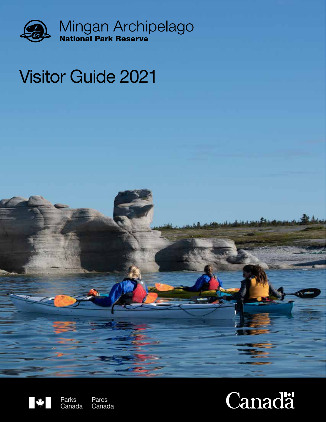

# Visitor Guide 2021



Parks<br>Canada Parcs Canada

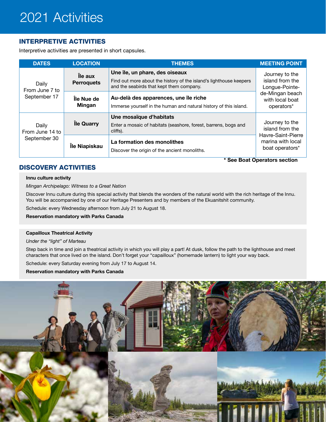## 2021 Activities

## INTERPRETIVE ACTIVITIES

Interpretive activities are presented in short capsules.

| <b>DATES</b>                             | <b>LOCATION</b>              | <b>THEMES</b>                                                                                                                                    | <b>MEETING POINT</b>                                    |
|------------------------------------------|------------------------------|--------------------------------------------------------------------------------------------------------------------------------------------------|---------------------------------------------------------|
| Daily<br>From June 7 to<br>September 17  | Île aux<br><b>Perroquets</b> | Une île, un phare, des oiseaux<br>Find out more about the history of the island's lighthouse keepers<br>and the seabirds that kept them company. | Journey to the<br>island from the<br>Longue-Pointe-     |
|                                          | Île Nue de<br><b>Mingan</b>  | Au-delà des apparences, une île riche<br>Immerse yourself in the human and natural history of this island.                                       | de-Mingan beach<br>with local boat<br>operators*        |
| Daily<br>From June 14 to<br>September 30 | lle Quarry                   | Une mosaïque d'habitats<br>Enter a mosaic of habitats (seashore, forest, barrens, bogs and<br>cliffs).                                           | Journey to the<br>island from the<br>Havre-Saint-Pierre |
|                                          | Île Niapiskau                | La formation des monolithes<br>Discover the origin of the ancient monoliths.                                                                     | marina with local<br>boat operators*                    |

## DISCOVERY ACTIVITIES

**\* See Boat Operators section** 

#### **Innu culture activity**

*Mingan Archipelago: Witness to a Great Nation*

Discover Innu culture during this special activity that blends the wonders of the natural world with the rich heritage of the Innu. You will be accompanied by one of our Heritage Presenters and by members of the Ekuanitshit community.

Schedule: every Wednesday afternoon from July 21 to August 18.

**Reservation mandatory with Parks Canada**

#### **Capailloux Theatrical Activity**

*Under the "light" of Marteau*

Step back in time and join a theatrical activity in which you will play a part! At dusk, follow the path to the lighthouse and meet characters that once lived on the island. Don't forget your "capailloux" (homemade lantern) to light your way back.

Schedule: every Saturday evening from July 17 to August 14.

#### **Reservation mandatory with Parks Canada**

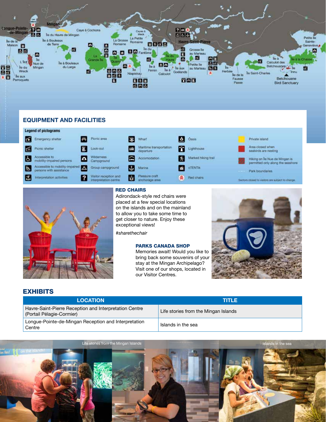

### **EQUIPMENT AND FACILITIES**

#### **Legend of pictograms**





#### RED CHAIRS

Adirondack-style red chairs were placed at a few special locations on the islands and on the mainland to allow you to take some time to get closer to nature. Enjoy these exceptional views!

*#sharethechair*

#### PARKS CANADA SHOP

Memories await! Would you like to bring back some souvenirs of your stay at the Mingan Archipelago? Visit one of our shops, located in our Visitor Centres.



### EXHIBITS

| <b>LOCATION</b>                                                                     | n in Le                              |
|-------------------------------------------------------------------------------------|--------------------------------------|
| Havre-Saint-Pierre Reception and Interpretation Centre<br>(Portail Pélagie-Cormier) | Life stories from the Mingan Islands |
| Longue-Pointe-de-Mingan Reception and Interpretation<br>Centre                      | Islands in the sea                   |

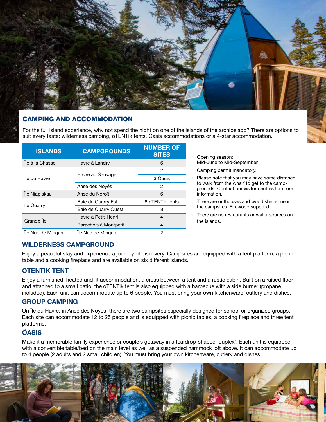

## CAMPING AND ACCOMMODATION

For the full island experience, why not spend the night on one of the islands of the archipelago? There are options to suit every taste: wilderness camping, oTENTik tents, Ôasis accommodations or a 4-star accommodation.

| <b>ISLANDS</b>    | <b>CAMPGROUNDS</b>    | <b>NUMBER OF</b><br><b>SITES</b> |
|-------------------|-----------------------|----------------------------------|
| Île à la Chasse   | Havre à Landry        | 6                                |
|                   |                       | 2                                |
| Île du Havre      | Havre au Sauvage      | 3 Ôasis                          |
|                   | Anse des Novés        | 2                                |
| Île Niapiskau     | Anse du Noroît        | 6                                |
|                   | Baie de Quarry Est    | 6 oTENTik tents                  |
| lle Quarry        | Baie de Quarry Ouest  | 8                                |
| Grande Île        | Havre à Petit-Henri   | 4                                |
|                   | Barachois à Montpetit | $\overline{4}$                   |
| Île Nue de Mingan | Île Nue de Mingan     | 2                                |

Opening season: Mid-June to Mid-September.

› Camping permit mandatory.

- Please note that you may have some distance to walk from the wharf to get to the campgrounds. Contact our visitor centres for more information.
- There are outhouses and wood shelter near the campsites. Firewood supplied.
- There are no restaurants or water sources on the islands.

## **WILDERNESS CAMPGROUND**

Enjoy a peaceful stay and experience a journey of discovery. Campsites are equipped with a tent platform, a picnic table and a cooking fireplace and are available on six different islands.

## **OTENTIK TENT**

Enjoy a furnished, heated and lit accommodation, a cross between a tent and a rustic cabin. Built on a raised floor and attached to a small patio, the oTENTik tent is also equipped with a barbecue with a side burner (propane included). Each unit can accommodate up to 6 people. You must bring your own kitchenware, cutlery and dishes.

## **GROUP CAMPING**

On Île du Havre, in Anse des Noyés, there are two campsites especially designed for school or organized groups. Each site can accommodate 12 to 25 people and is equipped with picnic tables, a cooking fireplace and three tent platforms.

## **ÔASIS**

Make it a memorable family experience or couple's getaway in a teardrop-shaped 'duplex'. Each unit is equipped with a convertible table/bed on the main level as well as a suspended hammock loft above. It can accommodate up to 4 people (2 adults and 2 small children). You must bring your own kitchenware, cutlery and dishes.

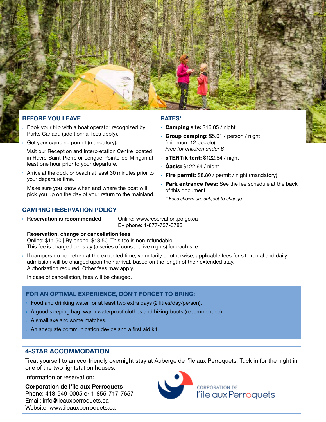

### **BEFORE YOU LEAVE**

- Book your trip with a boat operator recognized by Parks Canada (additionnal fees apply).
- Get your camping permit (mandatory).
- Visit our Reception and Interpretation Centre located in Havre-Saint-Pierre or Longue-Pointe-de-Mingan at least one hour prior to your departure.
- › Arrive at the dock or beach at least 30 minutes prior to your departure time.
- › Make sure you know when and where the boat will pick you up on the day of your return to the mainland.

### **CAMPING RESERVATION POLICY**

**Reservation is recommended** Online: www.reservation.pc.gc.ca By phone: 1-877-737-3783

› **Reservation, change or cancellation fees**

Online: \$11.50 | By phone: \$13.50 This fee is non-refundable. This fee is charged per stay (a series of consecutive nights) for each site.

- If campers do not return at the expected time, voluntarily or otherwise, applicable fees for site rental and daily admission will be charged upon their arrival, based on the length of their extended stay. Authorization required. Other fees may apply.
- In case of cancellation, fees will be charged.

## **FOR AN OPTIMAL EXPERIENCE, DON'T FORGET TO BRING:**

- Food and drinking water for at least two extra days (2 litres/day/person).
- A good sleeping bag, warm waterproof clothes and hiking boots (recommended).
- A small axe and some matches.
- An adequate communication device and a first aid kit.

## **4-STAR ACCOMMODATION**

Treat yourself to an eco-friendly overnight stay at Auberge de l'île aux Perroquets. Tuck in for the night in one of the two lightstation houses.

Information or reservation:

**Corporation de l'île aux Perroquets** Phone: 418-949-0005 or 1-855-717-7657 Email: info@ileauxperroquets.ca Website: www.ileauxperroquets.ca



### **RATES\***

- › Camping **site:** \$16.05 / night
- › Group camping**:** \$5.01 / person / night (minimum 12 people) *Free for children under 6*
- › oTENTik tent**:** \$122.64 / night
- **Oasis:** \$122.64 / night
- **Fire permit:** \$8.80 / permit / night (mandatory)
- Park entrance fees: See the fee schedule at the back of this document
	- *\* Fees shown are subject to change.*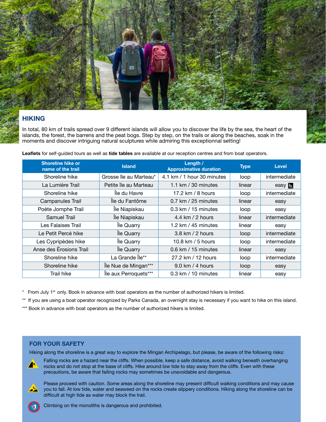

## **HIKING**

In total, 80 km of trails spread over 9 different islands will allow you to discover the life by the sea, the heart of the islands, the forest, the barrens and the peat bogs. Step by step, on the trails or along the beaches, soak in the moments and discover intriguing natural sculptures while admiring this exceptionnal setting!

**Leaflets** for self-guided tours as well as **tide tables** are available at our reception centres and from boat operators.

| <b>Shoreline hike or</b><br>name of the trail | <b>Island</b>          | Length /<br><b>Approximative duration</b> | <b>Type</b> | <b>Level</b>   |
|-----------------------------------------------|------------------------|-------------------------------------------|-------------|----------------|
| Shoreline hike                                | Grosse île au Marteau* | 4.1 km / 1 hour 30 minutes                | loop        | intermediate   |
| La Lumière Trail                              | Petite île au Marteau  | 1.1 km $/$ 30 minutes                     | linear      | easy <b>is</b> |
| Shoreline hike                                | Île du Havre           | 17.2 km / 8 hours                         | loop        | intermediate   |
| Campanules Trail                              | Île du Fantôme         | $0.7$ km / 25 minutes                     | linear      | easy           |
| Poète Jomphe Trail                            | Île Niapiskau          | $0.3$ km $/$ 15 minutes                   | loop        | easy           |
| Samuel Trail                                  | Île Niapiskau          | 4.4 km $/$ 2 hours                        | linear      | intermediate   |
| Les Falaises Trail                            | Île Quarry             | 1.2 km / 45 minutes                       | linear      | easy           |
| Le Petit Percé hike                           | Île Quarry             | $3.8 \text{ km}$ / 2 hours                | loop        | intermediate   |
| Les Cypripèdes hike                           | Île Quarry             | 10.8 km / 5 hours                         | loop        | intermediate   |
| Anse des Érosions Trail                       | lle Quarry             | 0.6 km / 15 minutes                       | linear      | easy           |
| Shoreline hike                                | La Grande Île**        | 27.2 km / 12 hours                        | loop        | intermediate   |
| Shoreline hike                                | Île Nue de Mingan***   | $9.0 \text{ km}$ / 4 hours                | loop        | easy           |
| Trail hike                                    | Île aux Perroquets***  | $0.3$ km $/$ 10 minutes                   | linear      | easy           |

 $*$  From July 1<sup>st</sup> only. Book in advance with boat operators as the number of authorized hikers is limited.

\*\* If you are using a boat operator recognized by Parks Canada, an overnight stay is necessary if you want to hike on this island.

\*\*\* Book in advance with boat operators as the number of authorized hikers is limited.

## **FOR YOUR SAFETY**

Hiking along the shoreline is a great way to explore the Mingan Archipelago, but please, be aware of the following risks:

Falling rocks are a hazard near the cliffs. When possible, keep a safe distance, avoid walking beneath overhanging rocks and do not stop at the base of cliffs. Hike around low tide to stay away from the cliffs. Even with these precautions, be aware that failing rocks may sometimes be unavoidable and dangerous.

Please proceed with caution. Some areas along the shoreline may present difficult walking conditions and may cause you to fall. At low tide, water and seaweed on the rocks create slippery conditions. Hiking along the shoreline can be difficult at high tide as water may block the trail.



Climbing on the monoliths is dangerous and prohibited.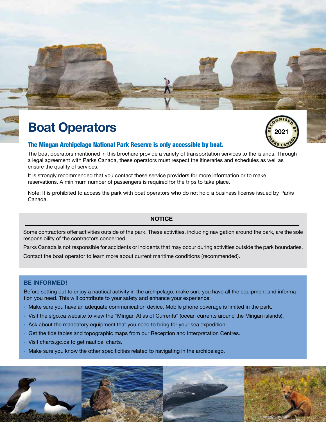

## **Boat Operators**



## The Mingan Archipelago National Park Reserve is only accessible by boat.

The boat operators mentioned in this brochure provide a variety of transportation services to the islands. Through a legal agreement with Parks Canada, these operators must respect the itineraries and schedules as well as ensure the quality of services.

It is strongly recommended that you contact these service providers for more information or to make reservations. A minimum number of passengers is required for the trips to take place.

Note: It is prohibited to access the park with boat operators who do not hold a business license issued by Parks Canada.

## **NOTICE**

Some contractors offer activities outside of the park. These activities, including navigation around the park, are the sole responsibility of the contractors concerned.

Parks Canada is not responsible for accidents or incidents that may occur during activities outside the park boundaries. Contact the boat operator to learn more about current maritime conditions (recommended).

## **BE INFORMED!**

Before setting out to enjoy a nautical activity in the archipelago, make sure you have all the equipment and information you need. This will contribute to your safety and enhance your experience.

- Make sure you have an adequate communication device. Mobile phone coverage is limited in the park.
- › Visit the slgo.ca website to view the "Mingan Atlas of Currents" (ocean currents around the Mingan islands).
- Ask about the mandatory equipment that you need to bring for your sea expedition.
- Get the tide tables and topographic maps from our Reception and Interpretation Centres.
- Visit charts.gc.ca to get nautical charts.
- Make sure you know the other specificities related to navigating in the archipelago.

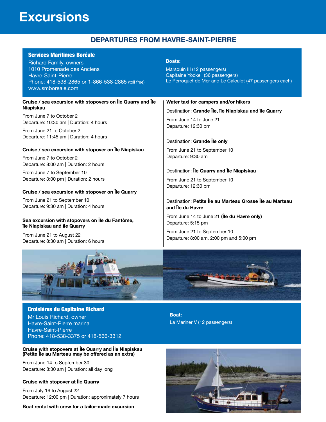## **Excursions**

## **DEPARTURES FROM HAVRE-SAINT-PIERRE**

| <b>Services Maritimes Boréale</b><br><b>Richard Family, owners</b><br>1010 Promenade des Anciens<br><b>Havre-Saint-Pierre</b><br>Phone: 418-538-2865 or 1-866-538-2865 (toll free)<br>www.smboreale.com | <b>Boats:</b><br>Marsouin III (12 passengers)<br>Capitaine Yockell (36 passengers)<br>Le Perroquet de Mer and Le Calculot (47 passengers each) |  |  |
|---------------------------------------------------------------------------------------------------------------------------------------------------------------------------------------------------------|------------------------------------------------------------------------------------------------------------------------------------------------|--|--|
| Cruise / sea excursion with stopovers on Île Quarry and Île                                                                                                                                             | Water taxi for campers and/or hikers                                                                                                           |  |  |
| <b>Niapiskau</b>                                                                                                                                                                                        | Destination: Grande Île, île Niapiskau and île Quarry                                                                                          |  |  |
| From June 7 to October 2<br>Departure: 10:30 am   Duration: 4 hours                                                                                                                                     | From June 14 to June 21<br>Departure: 12:30 pm                                                                                                 |  |  |
| From June 21 to October 2                                                                                                                                                                               |                                                                                                                                                |  |  |
| Departure: 11:45 am   Duration: 4 hours                                                                                                                                                                 | Destination: Grande Île only                                                                                                                   |  |  |
| Cruise / sea excursion with stopover on Île Niapiskau                                                                                                                                                   | From June 21 to September 10                                                                                                                   |  |  |
| From June 7 to October 2                                                                                                                                                                                | Departure: 9:30 am                                                                                                                             |  |  |
| Departure: 8:00 am   Duration: 2 hours                                                                                                                                                                  |                                                                                                                                                |  |  |
| From June 7 to September 10                                                                                                                                                                             | Destination: Île Quarry and Île Niapiskau                                                                                                      |  |  |
| Departure: 3:00 pm   Duration: 2 hours                                                                                                                                                                  | From June 21 to September 10<br>Departure: 12:30 pm                                                                                            |  |  |
| Cruise / sea excursion with stopover on Île Quarry                                                                                                                                                      |                                                                                                                                                |  |  |
| From June 21 to September 10                                                                                                                                                                            | Destination: Petite Île au Marteau Grosse Île au Marteau                                                                                       |  |  |
| Departure: 9:30 am   Duration: 4 hours                                                                                                                                                                  | and Île du Havre                                                                                                                               |  |  |
| Sea excursion with stopovers on Île du Fantôme,<br>île Niapiskau and île Quarry                                                                                                                         | From June 14 to June 21 (ile du Havre only)<br>Departure: 5:15 pm                                                                              |  |  |
| From June 21 to August 22<br>Departure: 8:30 am   Duration: 6 hours                                                                                                                                     | From June 21 to September 10<br>Departure: 8:00 am, 2:00 pm and 5:00 pm                                                                        |  |  |
|                                                                                                                                                                                                         |                                                                                                                                                |  |  |



Croisières du Capitaine Richard Mr Louis Richard, owner Havre-Saint-Pierre marina Havre-Saint-Pierre Phone: 418-538-3375 or 418-566-3312

#### **Cruise with stopovers at Île Quarry and Île Niapiskau (Petite Île au Marteau may be offered as an extra)**

From June 14 to September 30 Departure: 8:30 am | Duration: all day long

### **Cruise with stopover at Île Quarry**

From July 16 to August 22 Departure: 12:00 pm | Duration: approximately 7 hours

**Boat rental with crew for a tailor-made excursion**

**Boat:** La Mariner V (12 passengers)

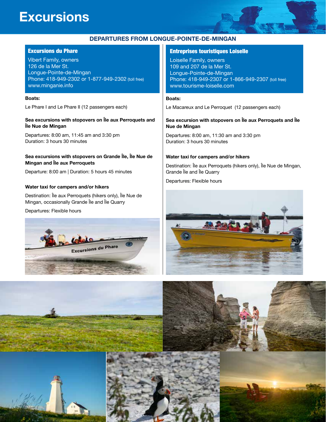## **Excursions**



#### Excursions du Phare

Vibert Family, owners 126 de la Mer St. Longue-Pointe-de-Mingan Phone: 418-949-2302 or 1-877-949-2302 (toll free) www.minganie.info

#### **Boats:**

Le Phare I and Le Phare II (12 passengers each)

#### **Sea excursions with stopovers on Île aux Perroquets and Île Nue de Mingan**

Departures: 8:00 am, 11:45 am and 3:30 pm Duration: 3 hours 30 minutes

#### **Sea excursions with stopovers on Grande Île, Île Nue de Mingan and Île aux Perroquets**

Departure: 8:00 am | Duration: 5 hours 45 minutes

#### **Water taxi for campers and/or hikers**

Destination: Île aux Perroquets (hikers only), Île Nue de Mingan, occasionally Grande Île and Île Quarry

Departures: Flexible hours



#### Entreprises touristiques Loiselle

Loiselle Family, owners 109 and 207 de la Mer St. Longue-Pointe-de-Mingan Phone: 418-949-2307 or 1-866-949-2307 (toll free) www.tourisme-loiselle.com

#### **Boats:**

Le Macareux and Le Perroquet (12 passengers each)

#### **Sea excursion with stopovers on Île aux Perroquets and Île Nue de Mingan**

Departures: 8:00 am, 11:30 am and 3:30 pm Duration: 3 hours 30 minutes

#### **Water taxi for campers and/or hikers**

Destination: Île aux Perroquets (hikers only), Île Nue de Mingan, Grande Île and Île Quarry

Departures: Flexible hours



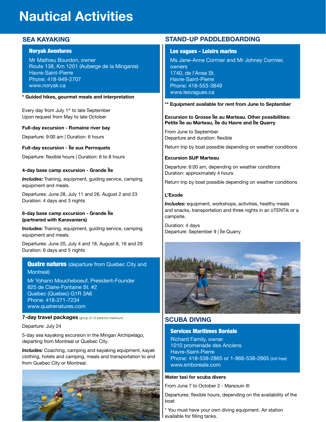## **Nautical Activities**

## **SEA KAYAKING**

#### Noryak Aventures

Mr Mathieu Bourdon, owner Route 138, Km 1201 (Auberge de la Minganie) Havre-Saint-Pierre Phone: 418-949-2707 www.noryak.ca

#### **\* Guided hikes, gourmet meals and interpretation**

Every day from July 1<sup>st</sup> to late September Upon request from May to late October

#### **Full-day excursion - Romaine river bay**

Departure: 9:00 am | Duration: 6 hours

#### **Full-day excursion - Île aux Perroquets**

Departure: flexible hours | Duration: 6 to 8 hours

#### **4-day base camp excursion - Grande Île**

**Includes:** Training, equipment, guiding service, camping equipment and meals.

Departures: June 28, July 11 and 26, August 2 and 23 Duration: 4 days and 3 nights

#### **6-day base camp excursion - Grande Île (partnered with Karavaniers)**

**Includes:** Training, equipment, guiding service, camping equipment and meals.

Departures: June 20, July 4 and 18, August 8, 16 and 29 Duration: 6 days and 5 nights

## **Quatre natures** (departure from Quebec City and Montreal)

Mr Yohann Moucheboeuf, President-Founder 825 de Claire-Fontaine St. #2 Quebec (Quebec) G1R 3A6 Phone: 418-271-7234 www.quatrenatures.com

#### **7-day travel packages** (group of 12 persons maximum)

Departure: July 24

5-day sea kayaking excursion in the Mingan Archipelago, departing from Montreal or Quebec City.

*Includes:* Coaching, camping and kayaking equipment, kayak clothing, hotels and camping, meals and transportation to and from Quebec City or Montreal.



### **STAND-UP PADDLEBOARDING**

#### Les vagues - Loisirs marins

Ms Jane-Anne Cormier and Mr Johney Cormier, owners 1740, de l'Anse St. Havre-Saint-Pierre Phone: 418-553-3849 www.lesvagues.ca

**\*\* Equipment available for rent from June to September**

#### **Excursion to Grosse Île au Marteau. Other possibilities: Petite Île au Marteau, Île du Havre and Île Quarry**

From June to September Departure and duration: flexible

Return trip by boat possible depending on weather conditions

#### **Excursion SUP Marteau**

Departure: 6:00 am, depending on weather conditions Duration: approximately 4 hours

Return trip by boat possible depending on weather conditions

#### **L'Exode**

**Includes:** equipment, workshops, activities, healthy meals and snacks, transportation and three nights in an oTENTik or a campsite.

Duration: 4 days Departure: September 9 | Île Quarry



## **SCUBA DIVING**

#### Services Maritimes Boréale

Richard Family, owner 1010 promenade des Anciens Havre-Saint-Pierre Phone: 418-538-2865 or 1-866-538-2865 (toll free) www.smboreale.com

#### **Water taxi for scuba divers**

From June 7 to October 2 - Marsouin III

Departures: flexible hours, depending on the availability of the boat

\* You must have your own diving equipment. Air station available for filling tanks.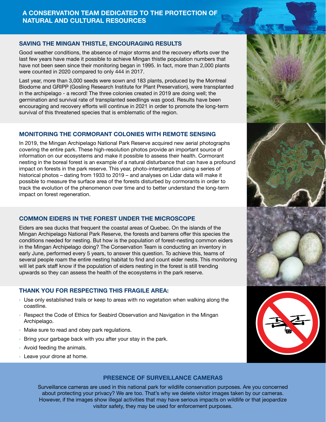## **A CONSERVATION TEAM DEDICATED TO THE PROTECTION OF NATURAL AND CULTURAL RESOURCES**

## **SAVING THE MINGAN THISTLE, ENCOURAGING RESULTS**

Good weather conditions, the absence of major storms and the recovery efforts over the last few years have made it possible to achieve Mingan thistle population numbers that have not been seen since their monitoring began in 1995. In fact, more than 2,000 plants were counted in 2020 compared to only 444 in 2017.

Last year, more than 3,000 seeds were sown and 183 plants, produced by the Montreal Biodome and GRIPP (Gosling Research Institute for Plant Preservation), were transplanted in the archipelago - a record! The three colonies created in 2019 are doing well; the germination and survival rate of transplanted seedlings was good. Results have been encouraging and recovery efforts will continue in 2021 in order to promote the long-term survival of this threatened species that is emblematic of the region.

## **MONITORING THE CORMORANT COLONIES WITH REMOTE SENSING**

In 2019, the Mingan Archipelago National Park Reserve acquired new aerial photographs covering the entire park. These high-resolution photos provide an important source of information on our ecosystems and make it possible to assess their health. Cormorant nesting in the boreal forest is an example of a natural disturbance that can have a profound impact on forests in the park reserve. This year, photo-interpretation using a series of historical photos – dating from 1933 to 2019 – and analyses on Lidar data will make it possible to measure the surface area of the forests disturbed by cormorants in order to track the evolution of the phenomenon over time and to better understand the long-term impact on forest regeneration.

## **COMMON EIDERS IN THE FOREST UNDER THE MICROSCOPE**

Eiders are sea ducks that frequent the coastal areas of Quebec. On the islands of the Mingan Archipelago National Park Reserve, the forests and barrens offer this species the conditions needed for nesting. But how is the population of forest-nesting common eiders in the Mingan Archipelago doing? The Conservation Team is conducting an inventory in early June, performed every 5 years, to answer this question. To achieve this, teams of several people roam the entire nesting habitat to find and count eider nests. This monitoring will let park staff know if the population of eiders nesting in the forest is still trending upwards so they can assess the health of the ecosystems in the park reserve.

## **THANK YOU FOR RESPECTING THIS FRAGILE AREA:**

- $\rightarrow$  Use only established trails or keep to areas with no vegetation when walking along the coastline.
- › Respect the Code of Ethics for Seabird Observation and Navigation in the Mingan Archipelago.
- › Make sure to read and obey park regulations.
- Bring your garbage back with you after your stay in the park.
- Avoid feeding the animals.
- › Leave your drone at home.



## **PRESENCE OF SURVEILLANCE CAMERAS**

Surveillance cameras are used in this national park for wildlife conservation purposes. Are you concerned about protecting your privacy? We are too. That's why we delete visitor images taken by our cameras. Surveillance cameras are used in this national park for wildlife conservation purposes. Are you concerned<br>about protecting your privacy? We are too. That's why we delete visitor images taken by our cameras.<br>However, if the visitor safety, they may be used for enforcement purposes. NO DRONE